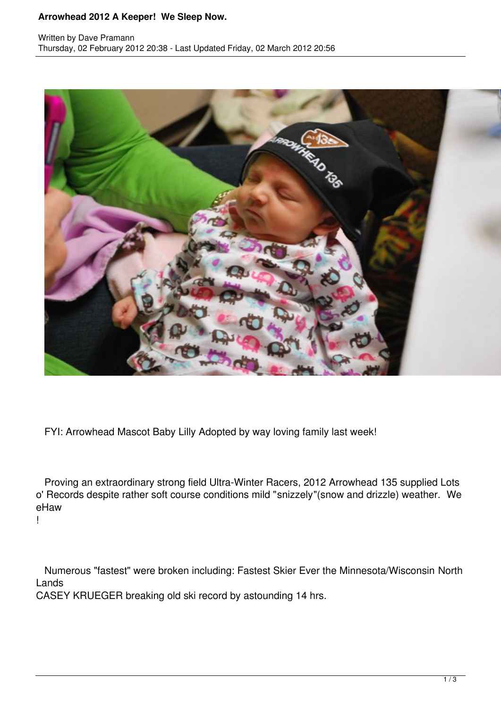## **Arrowhead 2012 A Keeper! We Sleep Now.**



FYI: Arrowhead Mascot Baby Lilly Adopted by way loving family last week!

 Proving an extraordinary strong field Ultra-Winter Racers, 2012 Arrowhead 135 supplied Lots o' Records despite rather soft course conditions mild "snizzely"(snow and drizzle) weather. We eHaw

!

 Numerous "fastest" were broken including: Fastest Skier Ever the Minnesota/Wisconsin North Lands

CASEY KRUEGER breaking old ski record by astounding 14 hrs.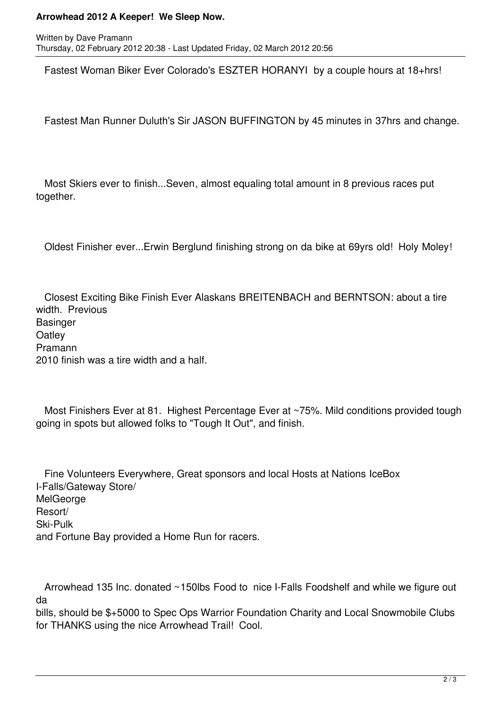## **Arrowhead 2012 A Keeper! We Sleep Now.**

Fastest Woman Biker Ever Colorado's ESZTER HORANYI by a couple hours at 18+hrs!

Fastest Man Runner Duluth's Sir JASON BUFFINGTON by 45 minutes in 37hrs and change.

 Most Skiers ever to finish...Seven, almost equaling total amount in 8 previous races put together.

Oldest Finisher ever...Erwin Berglund finishing strong on da bike at 69yrs old! Holy Moley!

 Closest Exciting Bike Finish Ever Alaskans BREITENBACH and BERNTSON: about a tire width. Previous **Basinger Oatley** Pramann 2010 finish was a tire width and a half.

 Most Finishers Ever at 81. Highest Percentage Ever at ~75%. Mild conditions provided tough going in spots but allowed folks to "Tough It Out", and finish.

 Fine Volunteers Everywhere, Great sponsors and local Hosts at Nations IceBox I-Falls/Gateway Store/ **MelGeorge** Resort/ Ski-Pulk and Fortune Bay provided a Home Run for racers.

Arrowhead 135 Inc. donated ~150lbs Food to nice I-Falls Foodshelf and while we figure out da

bills, should be \$+5000 to Spec Ops Warrior Foundation Charity and Local Snowmobile Clubs for THANKS using the nice Arrowhead Trail! Cool.